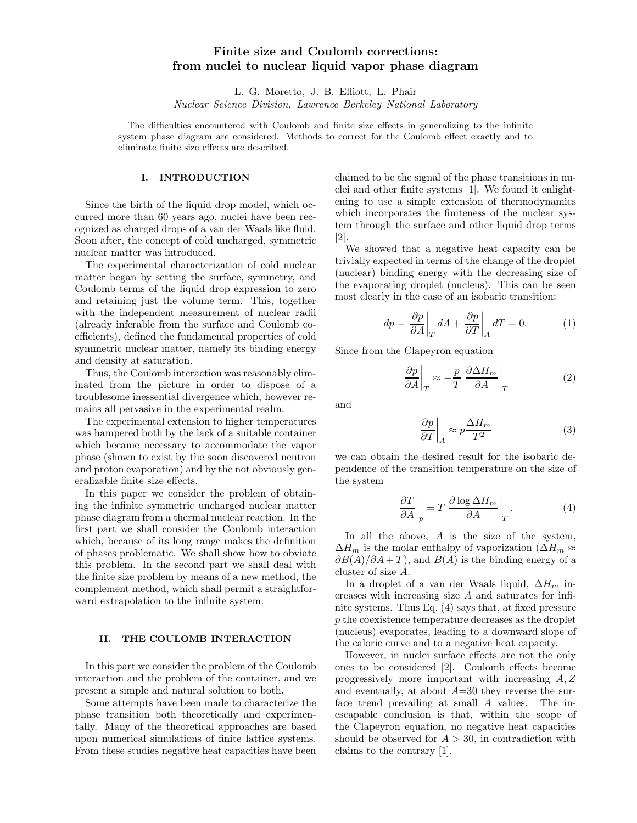# Finite size and Coulomb corrections: from nuclei to nuclear liquid vapor phase diagram

L. G. Moretto, J. B. Elliott, L. Phair

Nuclear Science Division, Lawrence Berkeley National Laboratory

The difficulties encountered with Coulomb and finite size effects in generalizing to the infinite system phase diagram are considered. Methods to correct for the Coulomb effect exactly and to eliminate finite size effects are described.

## I. INTRODUCTION

Since the birth of the liquid drop model, which occurred more than 60 years ago, nuclei have been recognized as charged drops of a van der Waals like fluid. Soon after, the concept of cold uncharged, symmetric nuclear matter was introduced.

The experimental characterization of cold nuclear matter began by setting the surface, symmetry, and Coulomb terms of the liquid drop expression to zero and retaining just the volume term. This, together with the independent measurement of nuclear radii (already inferable from the surface and Coulomb coefficients), defined the fundamental properties of cold symmetric nuclear matter, namely its binding energy and density at saturation.

Thus, the Coulomb interaction was reasonably eliminated from the picture in order to dispose of a troublesome inessential divergence which, however remains all pervasive in the experimental realm.

The experimental extension to higher temperatures was hampered both by the lack of a suitable container which became necessary to accommodate the vapor phase (shown to exist by the soon discovered neutron and proton evaporation) and by the not obviously generalizable finite size effects.

In this paper we consider the problem of obtaining the infinite symmetric uncharged nuclear matter phase diagram from a thermal nuclear reaction. In the first part we shall consider the Coulomb interaction which, because of its long range makes the definition of phases problematic. We shall show how to obviate this problem. In the second part we shall deal with the finite size problem by means of a new method, the complement method, which shall permit a straightforward extrapolation to the infinite system.

### II. THE COULOMB INTERACTION

In this part we consider the problem of the Coulomb interaction and the problem of the container, and we present a simple and natural solution to both.

Some attempts have been made to characterize the phase transition both theoretically and experimentally. Many of the theoretical approaches are based upon numerical simulations of finite lattice systems. From these studies negative heat capacities have been

claimed to be the signal of the phase transitions in nuclei and other finite systems [1]. We found it enlightening to use a simple extension of thermodynamics which incorporates the finiteness of the nuclear system through the surface and other liquid drop terms [2].

We showed that a negative heat capacity can be trivially expected in terms of the change of the droplet (nuclear) binding energy with the decreasing size of the evaporating droplet (nucleus). This can be seen most clearly in the case of an isobaric transition:

$$
dp = \frac{\partial p}{\partial A}\bigg|_{T} dA + \frac{\partial p}{\partial T}\bigg|_{A} dT = 0.
$$
 (1)

Since from the Clapeyron equation

$$
\left. \frac{\partial p}{\partial A} \right|_{T} \approx -\frac{p}{T} \left. \frac{\partial \Delta H_{m}}{\partial A} \right|_{T} \tag{2}
$$

and

$$
\left. \frac{\partial p}{\partial T} \right|_A \approx p \frac{\Delta H_m}{T^2} \tag{3}
$$

we can obtain the desired result for the isobaric dependence of the transition temperature on the size of the system

$$
\left. \frac{\partial T}{\partial A} \right|_{p} = T \left. \frac{\partial \log \Delta H_{m}}{\partial A} \right|_{T}.
$$
 (4)

In all the above, A is the size of the system,  $\Delta H_m$  is the molar enthalpy of vaporization  $(\Delta H_m \approx$  $\partial B(A)/\partial A + T$ , and  $B(A)$  is the binding energy of a cluster of size A.

In a droplet of a van der Waals liquid,  $\Delta H_m$  increases with increasing size A and saturates for infinite systems. Thus Eq. (4) says that, at fixed pressure p the coexistence temperature decreases as the droplet (nucleus) evaporates, leading to a downward slope of the caloric curve and to a negative heat capacity.

However, in nuclei surface effects are not the only ones to be considered [2]. Coulomb effects become progressively more important with increasing  $A, Z$ and eventually, at about  $A=30$  they reverse the surface trend prevailing at small A values. The inescapable conclusion is that, within the scope of the Clapeyron equation, no negative heat capacities should be observed for  $A > 30$ , in contradiction with claims to the contrary [1].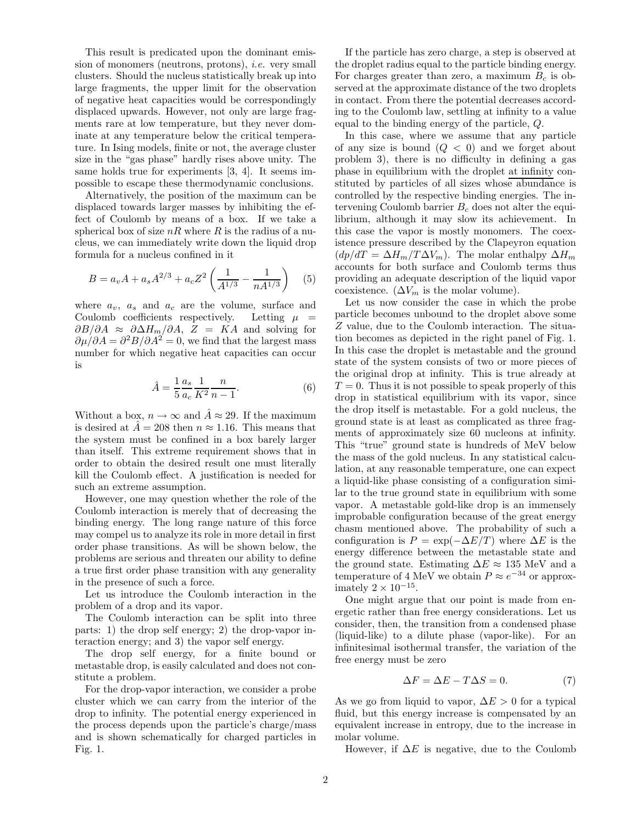This result is predicated upon the dominant emission of monomers (neutrons, protons), i.e. very small clusters. Should the nucleus statistically break up into large fragments, the upper limit for the observation of negative heat capacities would be correspondingly displaced upwards. However, not only are large fragments rare at low temperature, but they never dominate at any temperature below the critical temperature. In Ising models, finite or not, the average cluster size in the "gas phase" hardly rises above unity. The same holds true for experiments [3, 4]. It seems impossible to escape these thermodynamic conclusions.

Alternatively, the position of the maximum can be displaced towards larger masses by inhibiting the effect of Coulomb by means of a box. If we take a spherical box of size  $nR$  where R is the radius of a nucleus, we can immediately write down the liquid drop formula for a nucleus confined in it

$$
B = a_v A + a_s A^{2/3} + a_c Z^2 \left(\frac{1}{A^{1/3}} - \frac{1}{n A^{1/3}}\right) \tag{5}
$$

where  $a_v$ ,  $a_s$  and  $a_c$  are the volume, surface and Coulomb coefficients respectively. Letting  $\mu =$  $\partial B/\partial A \approx \partial \Delta H_m/\partial A$ ,  $Z = KA$  and solving for  $\partial \mu / \partial A = \partial^2 B / \partial A^2 = 0$ , we find that the largest mass number for which negative heat capacities can occur is

$$
\hat{A} = \frac{1}{5} \frac{a_s}{a_c} \frac{1}{K^2} \frac{n}{n-1}.
$$
\n(6)

Without a box,  $n \to \infty$  and  $A \approx 29$ . If the maximum is desired at  $\ddot{A} = 208$  then  $n \approx 1.16$ . This means that the system must be confined in a box barely larger than itself. This extreme requirement shows that in order to obtain the desired result one must literally kill the Coulomb effect. A justification is needed for such an extreme assumption.

However, one may question whether the role of the Coulomb interaction is merely that of decreasing the binding energy. The long range nature of this force may compel us to analyze its role in more detail in first order phase transitions. As will be shown below, the problems are serious and threaten our ability to define a true first order phase transition with any generality in the presence of such a force.

Let us introduce the Coulomb interaction in the problem of a drop and its vapor.

The Coulomb interaction can be split into three parts: 1) the drop self energy; 2) the drop-vapor interaction energy; and 3) the vapor self energy.

The drop self energy, for a finite bound or metastable drop, is easily calculated and does not constitute a problem.

For the drop-vapor interaction, we consider a probe cluster which we can carry from the interior of the drop to infinity. The potential energy experienced in the process depends upon the particle's charge/mass and is shown schematically for charged particles in Fig. 1.

If the particle has zero charge, a step is observed at the droplet radius equal to the particle binding energy. For charges greater than zero, a maximum  $B<sub>c</sub>$  is observed at the approximate distance of the two droplets in contact. From there the potential decreases according to the Coulomb law, settling at infinity to a value equal to the binding energy of the particle, Q.

In this case, where we assume that any particle of any size is bound  $(Q < 0)$  and we forget about problem 3), there is no difficulty in defining a gas phase in equilibrium with the droplet at infinity constituted by particles of all sizes whose abundance is controlled by the respective binding energies. The intervening Coulomb barrier  $B_c$  does not alter the equilibrium, although it may slow its achievement. In this case the vapor is mostly monomers. The coexistence pressure described by the Clapeyron equation  $(dp/dT = \Delta H_m/T \Delta V_m)$ . The molar enthalpy  $\Delta H_m$ accounts for both surface and Coulomb terms thus providing an adequate description of the liquid vapor coexistence.  $(\Delta V_m$  is the molar volume).

Let us now consider the case in which the probe particle becomes unbound to the droplet above some Z value, due to the Coulomb interaction. The situation becomes as depicted in the right panel of Fig. 1. In this case the droplet is metastable and the ground state of the system consists of two or more pieces of the original drop at infinity. This is true already at  $T = 0$ . Thus it is not possible to speak properly of this drop in statistical equilibrium with its vapor, since the drop itself is metastable. For a gold nucleus, the ground state is at least as complicated as three fragments of approximately size 60 nucleons at infinity. This "true" ground state is hundreds of MeV below the mass of the gold nucleus. In any statistical calculation, at any reasonable temperature, one can expect a liquid-like phase consisting of a configuration similar to the true ground state in equilibrium with some vapor. A metastable gold-like drop is an immensely improbable configuration because of the great energy chasm mentioned above. The probability of such a configuration is  $P = \exp(-\Delta E/T)$  where  $\Delta E$  is the energy difference between the metastable state and the ground state. Estimating  $\Delta E \approx 135$  MeV and a temperature of 4 MeV we obtain  $P \approx e^{-34}$  or approximately  $2 \times 10^{-15}$ .

One might argue that our point is made from energetic rather than free energy considerations. Let us consider, then, the transition from a condensed phase (liquid-like) to a dilute phase (vapor-like). For an infinitesimal isothermal transfer, the variation of the free energy must be zero

$$
\Delta F = \Delta E - T\Delta S = 0. \tag{7}
$$

As we go from liquid to vapor,  $\Delta E > 0$  for a typical fluid, but this energy increase is compensated by an equivalent increase in entropy, due to the increase in molar volume.

However, if  $\Delta E$  is negative, due to the Coulomb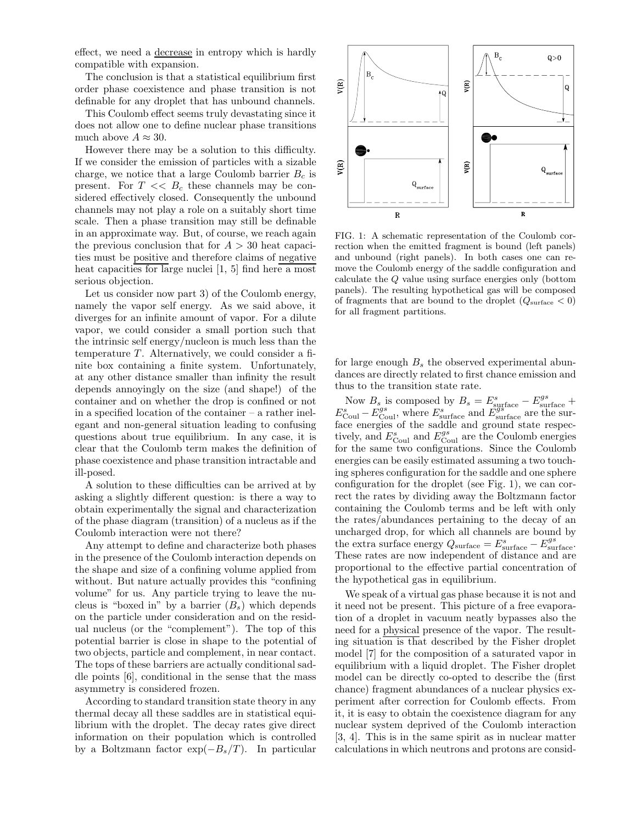effect, we need a decrease in entropy which is hardly compatible with expansion.

The conclusion is that a statistical equilibrium first order phase coexistence and phase transition is not definable for any droplet that has unbound channels.

This Coulomb effect seems truly devastating since it does not allow one to define nuclear phase transitions much above  $A \approx 30$ .

However there may be a solution to this difficulty. If we consider the emission of particles with a sizable charge, we notice that a large Coulomb barrier  $B_c$  is present. For  $T \ll B_c$  these channels may be considered effectively closed. Consequently the unbound channels may not play a role on a suitably short time scale. Then a phase transition may still be definable in an approximate way. But, of course, we reach again the previous conclusion that for  $A > 30$  heat capacities must be positive and therefore claims of negative heat capacities for large nuclei [1, 5] find here a most serious objection.

Let us consider now part 3) of the Coulomb energy, namely the vapor self energy. As we said above, it diverges for an infinite amount of vapor. For a dilute vapor, we could consider a small portion such that the intrinsic self energy/nucleon is much less than the temperature  $T$ . Alternatively, we could consider a finite box containing a finite system. Unfortunately, at any other distance smaller than infinity the result depends annoyingly on the size (and shape!) of the container and on whether the drop is confined or not in a specified location of the container – a rather inelegant and non-general situation leading to confusing questions about true equilibrium. In any case, it is clear that the Coulomb term makes the definition of phase coexistence and phase transition intractable and ill-posed.

A solution to these difficulties can be arrived at by asking a slightly different question: is there a way to obtain experimentally the signal and characterization of the phase diagram (transition) of a nucleus as if the Coulomb interaction were not there?

Any attempt to define and characterize both phases in the presence of the Coulomb interaction depends on the shape and size of a confining volume applied from without. But nature actually provides this "confining volume" for us. Any particle trying to leave the nucleus is "boxed in" by a barrier  $(B_s)$  which depends on the particle under consideration and on the residual nucleus (or the "complement"). The top of this potential barrier is close in shape to the potential of two objects, particle and complement, in near contact. The tops of these barriers are actually conditional saddle points [6], conditional in the sense that the mass asymmetry is considered frozen.

According to standard transition state theory in any thermal decay all these saddles are in statistical equilibrium with the droplet. The decay rates give direct information on their population which is controlled by a Boltzmann factor  $\exp(-B_s/T)$ . In particular



FIG. 1: A schematic representation of the Coulomb correction when the emitted fragment is bound (left panels) and unbound (right panels). In both cases one can remove the Coulomb energy of the saddle configuration and calculate the Q value using surface energies only (bottom panels). The resulting hypothetical gas will be composed of fragments that are bound to the droplet  $(Q_{\text{surface}} < 0)$ for all fragment partitions.

for large enough  $B_s$  the observed experimental abundances are directly related to first chance emission and thus to the transition state rate.

Now  $B_s$  is composed by  $B_s = E_{\text{surface}}^s - E_{\text{surface}}^{gs} +$  $E_{\text{Coul}}^s - E_{\text{Coul}}^{gs}$ , where  $E_{\text{surface}}^s$  and  $E_{\text{surface}}^{gs}$  are the surface energies of the saddle and ground state respectively, and  $E_{\text{Coul}}^s$  and  $E_{\text{Coul}}^{gs}$  are the Coulomb energies for the same two configurations. Since the Coulomb energies can be easily estimated assuming a two touching spheres configuration for the saddle and one sphere configuration for the droplet (see Fig. 1), we can correct the rates by dividing away the Boltzmann factor containing the Coulomb terms and be left with only the rates/abundances pertaining to the decay of an uncharged drop, for which all channels are bound by the extra surface energy  $Q_{\text{surface}} = E_{\text{surface}}^s - E_{\text{surface}}^{gs}$ . These rates are now independent of distance and are proportional to the effective partial concentration of the hypothetical gas in equilibrium.

We speak of a virtual gas phase because it is not and it need not be present. This picture of a free evaporation of a droplet in vacuum neatly bypasses also the need for a physical presence of the vapor. The resulting situation is that described by the Fisher droplet model [7] for the composition of a saturated vapor in equilibrium with a liquid droplet. The Fisher droplet model can be directly co-opted to describe the (first chance) fragment abundances of a nuclear physics experiment after correction for Coulomb effects. From it, it is easy to obtain the coexistence diagram for any nuclear system deprived of the Coulomb interaction [3, 4]. This is in the same spirit as in nuclear matter calculations in which neutrons and protons are consid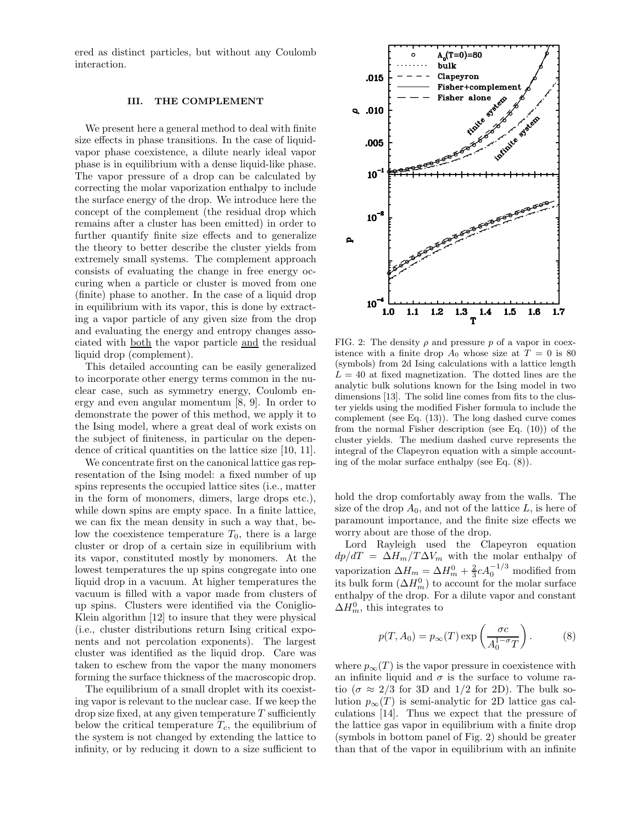ered as distinct particles, but without any Coulomb interaction.

# III. THE COMPLEMENT

We present here a general method to deal with finite size effects in phase transitions. In the case of liquidvapor phase coexistence, a dilute nearly ideal vapor phase is in equilibrium with a dense liquid-like phase. The vapor pressure of a drop can be calculated by correcting the molar vaporization enthalpy to include the surface energy of the drop. We introduce here the concept of the complement (the residual drop which remains after a cluster has been emitted) in order to further quantify finite size effects and to generalize the theory to better describe the cluster yields from extremely small systems. The complement approach consists of evaluating the change in free energy occuring when a particle or cluster is moved from one (finite) phase to another. In the case of a liquid drop in equilibrium with its vapor, this is done by extracting a vapor particle of any given size from the drop and evaluating the energy and entropy changes associated with both the vapor particle and the residual liquid drop (complement).

This detailed accounting can be easily generalized to incorporate other energy terms common in the nuclear case, such as symmetry energy, Coulomb energy and even angular momentum [8, 9]. In order to demonstrate the power of this method, we apply it to the Ising model, where a great deal of work exists on the subject of finiteness, in particular on the dependence of critical quantities on the lattice size [10, 11].

We concentrate first on the canonical lattice gas representation of the Ising model: a fixed number of up spins represents the occupied lattice sites (i.e., matter in the form of monomers, dimers, large drops etc.), while down spins are empty space. In a finite lattice, we can fix the mean density in such a way that, below the coexistence temperature  $T_0$ , there is a large cluster or drop of a certain size in equilibrium with its vapor, constituted mostly by monomers. At the lowest temperatures the up spins congregate into one liquid drop in a vacuum. At higher temperatures the vacuum is filled with a vapor made from clusters of up spins. Clusters were identified via the Coniglio-Klein algorithm [12] to insure that they were physical (i.e., cluster distributions return Ising critical exponents and not percolation exponents). The largest cluster was identified as the liquid drop. Care was taken to eschew from the vapor the many monomers forming the surface thickness of the macroscopic drop.

The equilibrium of a small droplet with its coexisting vapor is relevant to the nuclear case. If we keep the drop size fixed, at any given temperature  $T$  sufficiently below the critical temperature  $T_c$ , the equilibrium of the system is not changed by extending the lattice to infinity, or by reducing it down to a size sufficient to



FIG. 2: The density  $\rho$  and pressure p of a vapor in coexistence with a finite drop  $A_0$  whose size at  $T = 0$  is 80 (symbols) from 2d Ising calculations with a lattice length  $L = 40$  at fixed magnetization. The dotted lines are the analytic bulk solutions known for the Ising model in two dimensions [13]. The solid line comes from fits to the cluster yields using the modified Fisher formula to include the complement (see Eq. (13)). The long dashed curve comes from the normal Fisher description (see Eq. (10)) of the cluster yields. The medium dashed curve represents the integral of the Clapeyron equation with a simple accounting of the molar surface enthalpy (see Eq. (8)).

hold the drop comfortably away from the walls. The size of the drop  $A_0$ , and not of the lattice  $L$ , is here of paramount importance, and the finite size effects we worry about are those of the drop.

Lord Rayleigh used the Clapeyron equation  $dp/dT = \Delta H_m/T \Delta V_m$  with the molar enthalpy of vaporization  $\Delta H_m = \Delta H_m^0 + \frac{2}{3}cA_0^{-1/3}$  modified from its bulk form  $(\Delta H_m^0)$  to account for the molar surface enthalpy of the drop. For a dilute vapor and constant  $\Delta H_m^0$ , this integrates to

$$
p(T, A_0) = p_{\infty}(T) \exp\left(\frac{\sigma c}{A_0^{1-\sigma}T}\right).
$$
 (8)

where  $p_{\infty}(T)$  is the vapor pressure in coexistence with an infinite liquid and  $\sigma$  is the surface to volume ratio ( $\sigma \approx 2/3$  for 3D and 1/2 for 2D). The bulk solution  $p_{\infty}(T)$  is semi-analytic for 2D lattice gas calculations [14]. Thus we expect that the pressure of the lattice gas vapor in equilibrium with a finite drop (symbols in bottom panel of Fig. 2) should be greater than that of the vapor in equilibrium with an infinite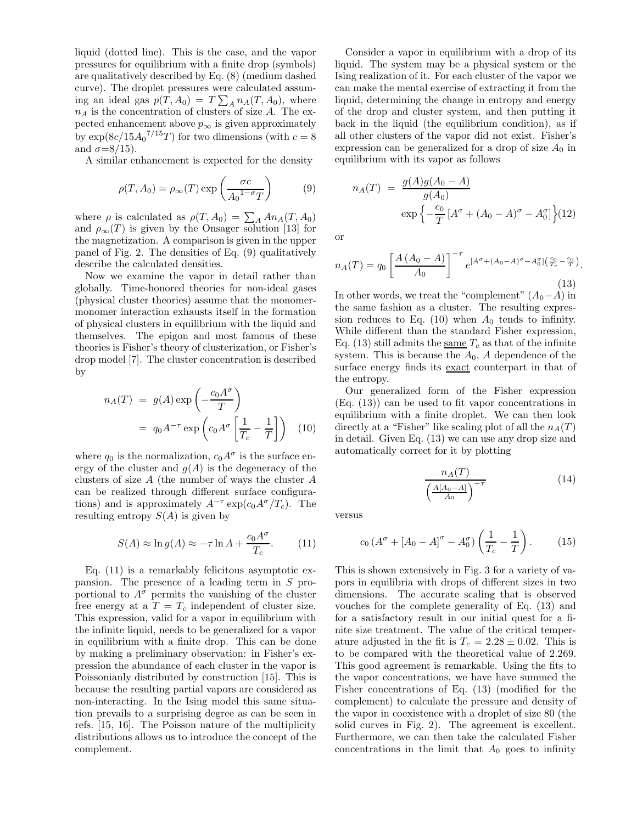liquid (dotted line). This is the case, and the vapor pressures for equilibrium with a finite drop (symbols) are qualitatively described by Eq. (8) (medium dashed curve). The droplet pressures were calculated assuming an ideal gas  $p(T, A_0) = T \sum_A n_A(T, A_0)$ , where  $n_A$  is the concentration of clusters of size A. The expected enhancement above  $p_{\infty}$  is given approximately by  $\exp(8c/15{A_0}^{7/15}T)$  for two dimensions (with  $c=8$ and  $\sigma = 8/15$ ).

A similar enhancement is expected for the density

$$
\rho(T, A_0) = \rho_{\infty}(T) \exp\left(\frac{\sigma c}{A_0^{1-\sigma}T}\right) \tag{9}
$$

where  $\rho$  is calculated as  $\rho(T, A_0) = \sum_A An_A(T, A_0)$ and  $\rho_{\infty}(T)$  is given by the Onsager solution [13] for the magnetization. A comparison is given in the upper panel of Fig. 2. The densities of Eq. (9) qualitatively describe the calculated densities.

Now we examine the vapor in detail rather than globally. Time-honored theories for non-ideal gases (physical cluster theories) assume that the monomermonomer interaction exhausts itself in the formation of physical clusters in equilibrium with the liquid and themselves. The epigon and most famous of these theories is Fisher's theory of clusterization, or Fisher's drop model [7]. The cluster concentration is described by

$$
n_A(T) = g(A) \exp\left(-\frac{c_0 A^{\sigma}}{T}\right)
$$

$$
= q_0 A^{-\tau} \exp\left(c_0 A^{\sigma} \left[\frac{1}{T_c} - \frac{1}{T}\right]\right) \quad (10)
$$

where  $q_0$  is the normalization,  $c_0 A^{\sigma}$  is the surface energy of the cluster and  $g(A)$  is the degeneracy of the clusters of size A (the number of ways the cluster A can be realized through different surface configurations) and is approximately  $A^{-\tau} \exp(c_0 A^{\sigma}/T_c)$ . The resulting entropy  $S(A)$  is given by

$$
S(A) \approx \ln g(A) \approx -\tau \ln A + \frac{c_0 A^{\sigma}}{T_c}.
$$
 (11)

Eq. (11) is a remarkably felicitous asymptotic expansion. The presence of a leading term in S proportional to  $A^{\sigma}$  permits the vanishing of the cluster free energy at a  $T = T_c$  independent of cluster size. This expression, valid for a vapor in equilibrium with the infinite liquid, needs to be generalized for a vapor in equilibrium with a finite drop. This can be done by making a preliminary observation: in Fisher's expression the abundance of each cluster in the vapor is Poissonianly distributed by construction [15]. This is because the resulting partial vapors are considered as non-interacting. In the Ising model this same situation prevails to a surprising degree as can be seen in refs. [15, 16]. The Poisson nature of the multiplicity distributions allows us to introduce the concept of the complement.

Consider a vapor in equilibrium with a drop of its liquid. The system may be a physical system or the Ising realization of it. For each cluster of the vapor we can make the mental exercise of extracting it from the liquid, determining the change in entropy and energy of the drop and cluster system, and then putting it back in the liquid (the equilibrium condition), as if all other clusters of the vapor did not exist. Fisher's expression can be generalized for a drop of size  $A_0$  in equilibrium with its vapor as follows

$$
n_A(T) = \frac{g(A)g(A_0 - A)}{g(A_0)}
$$

$$
\exp \left\{-\frac{c_0}{T} [A^{\sigma} + (A_0 - A)^{\sigma} - A_0^{\sigma}] \right\} (12)
$$

or

$$
n_A(T) = q_0 \left[ \frac{A (A_0 - A)}{A_0} \right]^{-\tau} e^{[A^{\sigma} + (A_0 - A)^{\sigma} - A_0^{\sigma}] \left( \frac{c_0}{T_c} - \frac{c_0}{T} \right)}.
$$
\n(13)

In other words, we treat the "complement"  $(A_0-A)$  in the same fashion as a cluster. The resulting expression reduces to Eq.  $(10)$  when  $A_0$  tends to infinity. While different than the standard Fisher expression, Eq. (13) still admits the same  $T_c$  as that of the infinite system. This is because the  $A_0$ , A dependence of the surface energy finds its exact counterpart in that of the entropy.

Our generalized form of the Fisher expression (Eq. (13)) can be used to fit vapor concentrations in equilibrium with a finite droplet. We can then look directly at a "Fisher" like scaling plot of all the  $n_A(T)$ in detail. Given Eq. (13) we can use any drop size and automatically correct for it by plotting

$$
\frac{n_A(T)}{\left(\frac{A[A_0-A]}{A_0}\right)^{-\tau}}
$$
\n(14)

versus

$$
c_0 (A^{\sigma} + [A_0 - A]^{\sigma} - A_0^{\sigma}) \left( \frac{1}{T_c} - \frac{1}{T} \right). \tag{15}
$$

This is shown extensively in Fig. 3 for a variety of vapors in equilibria with drops of different sizes in two dimensions. The accurate scaling that is observed vouches for the complete generality of Eq. (13) and for a satisfactory result in our initial quest for a finite size treatment. The value of the critical temperature adjusted in the fit is  $T_c = 2.28 \pm 0.02$ . This is to be compared with the theoretical value of 2.269. This good agreement is remarkable. Using the fits to the vapor concentrations, we have have summed the Fisher concentrations of Eq. (13) (modified for the complement) to calculate the pressure and density of the vapor in coexistence with a droplet of size 80 (the solid curves in Fig. 2). The agreement is excellent. Furthermore, we can then take the calculated Fisher concentrations in the limit that  $A_0$  goes to infinity